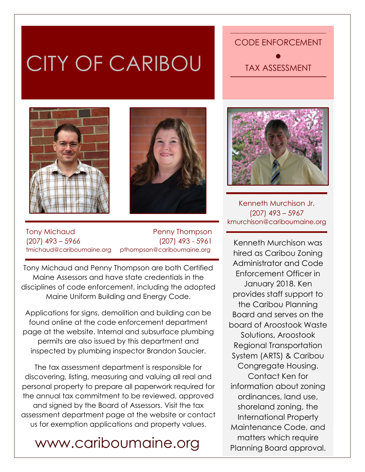## CITY OF CARIBOU

## CODE ENFORCEMENT

• TAX ASSESSMENT







Kenneth Murchison Jr. (207) 493 – 5967 kmurchison@cariboumaine.org

Kenneth Murchison was hired as Caribou Zoning Administrator and Code Enforcement Officer in January 2018. Ken provides staff support to the Caribou Planning Board and serves on the board of Aroostook Waste Solutions, Aroostook Regional Transportation System (ARTS) & Caribou Congregate Housing. Contact Ken for information about zoning ordinances, land use, shoreland zoning, the International Property Maintenance Code, and matters which require Planning Board approval.

Tony Michaud **Penny Thompson** (207) 493 – 5966 (207) 493 - 5961 [tmichaud@cariboumaine.org](mailto:tmichaud@cariboumaine.org) pthompson@cariboumaine.org

Tony Michaud and Penny Thompson are both Certified Maine Assessors and have state credentials in the disciplines of code enforcement, including the adopted Maine Uniform Building and Energy Code.

Applications for signs, demolition and building can be found online at the code enforcement department page at the website. Internal and subsurface plumbing permits are also issued by this department and inspected by plumbing inspector Brandon Saucier.

The tax assessment department is responsible for discovering, listing, measuring and valuing all real and personal property to prepare all paperwork required for the annual tax commitment to be reviewed, approved and signed by the Board of Assessors. Visit the tax assessment department page at the website or contact us for exemption applications and property values.

## www.cariboumaine.org